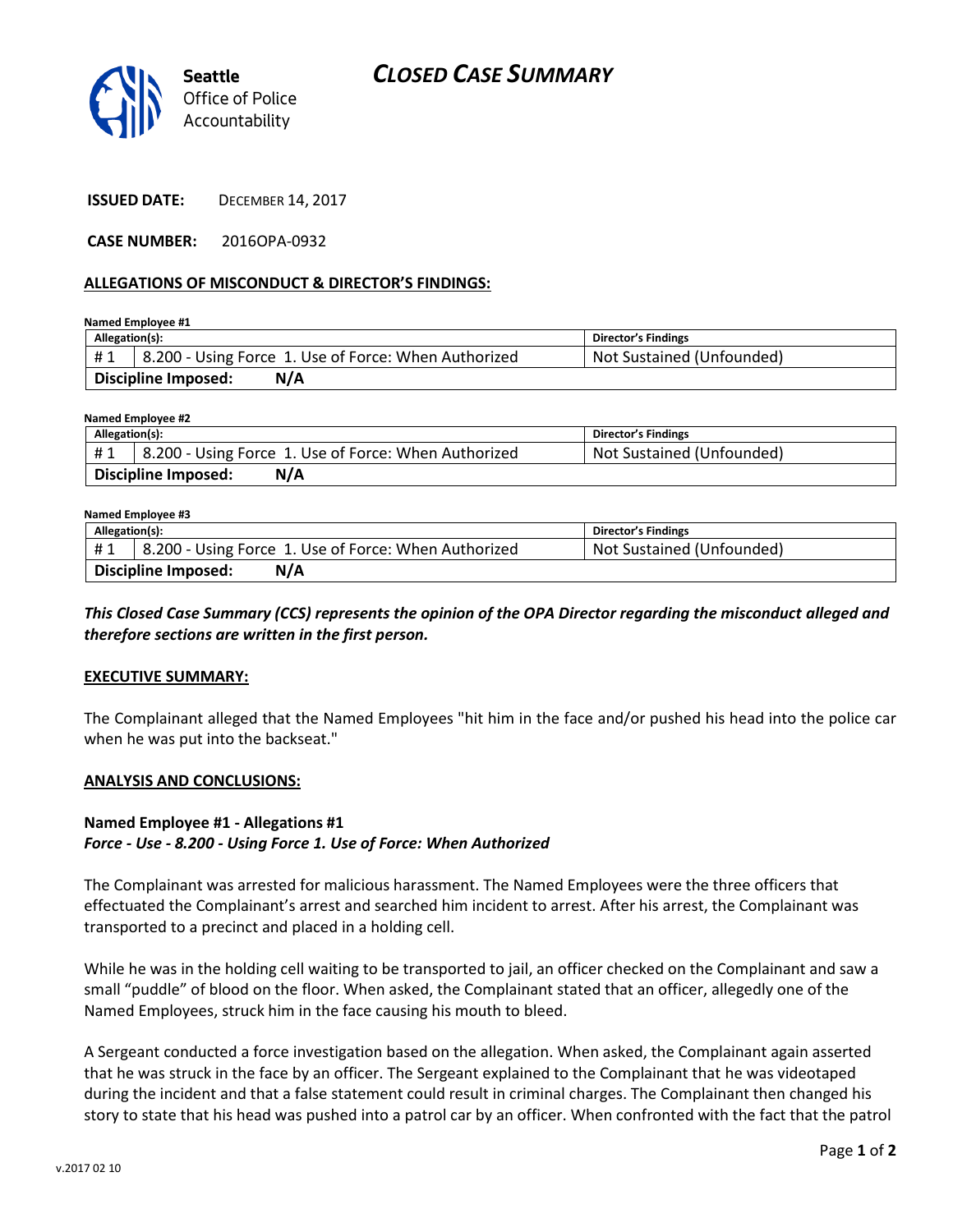

**ISSUED DATE:** DECEMBER 14, 2017

**CASE NUMBER:** 2016OPA-0932

### **ALLEGATIONS OF MISCONDUCT & DIRECTOR'S FINDINGS:**

**Named Employee #1**

| Allegation(s):             |                                                      | <b>Director's Findings</b> |
|----------------------------|------------------------------------------------------|----------------------------|
| #1                         | 8.200 - Using Force 1. Use of Force: When Authorized | Not Sustained (Unfounded)  |
| Discipline Imposed:<br>N/A |                                                      |                            |

#### **Named Employee #2**

| Allegation(s):                    |                                                      | <b>Director's Findings</b> |
|-----------------------------------|------------------------------------------------------|----------------------------|
| #1                                | 8.200 - Using Force 1. Use of Force: When Authorized | Not Sustained (Unfounded)  |
| N/A<br><b>Discipline Imposed:</b> |                                                      |                            |

## **Named Employee #3**

| Allegation(s):                    |                                                      | <b>Director's Findings</b> |
|-----------------------------------|------------------------------------------------------|----------------------------|
| #1                                | 8.200 - Using Force 1. Use of Force: When Authorized | Not Sustained (Unfounded)  |
| <b>Discipline Imposed:</b><br>N/A |                                                      |                            |

## *This Closed Case Summary (CCS) represents the opinion of the OPA Director regarding the misconduct alleged and therefore sections are written in the first person.*

#### **EXECUTIVE SUMMARY:**

The Complainant alleged that the Named Employees "hit him in the face and/or pushed his head into the police car when he was put into the backseat."

#### **ANALYSIS AND CONCLUSIONS:**

## **Named Employee #1 - Allegations #1** *Force - Use - 8.200 - Using Force 1. Use of Force: When Authorized*

The Complainant was arrested for malicious harassment. The Named Employees were the three officers that effectuated the Complainant's arrest and searched him incident to arrest. After his arrest, the Complainant was transported to a precinct and placed in a holding cell.

While he was in the holding cell waiting to be transported to jail, an officer checked on the Complainant and saw a small "puddle" of blood on the floor. When asked, the Complainant stated that an officer, allegedly one of the Named Employees, struck him in the face causing his mouth to bleed.

A Sergeant conducted a force investigation based on the allegation. When asked, the Complainant again asserted that he was struck in the face by an officer. The Sergeant explained to the Complainant that he was videotaped during the incident and that a false statement could result in criminal charges. The Complainant then changed his story to state that his head was pushed into a patrol car by an officer. When confronted with the fact that the patrol